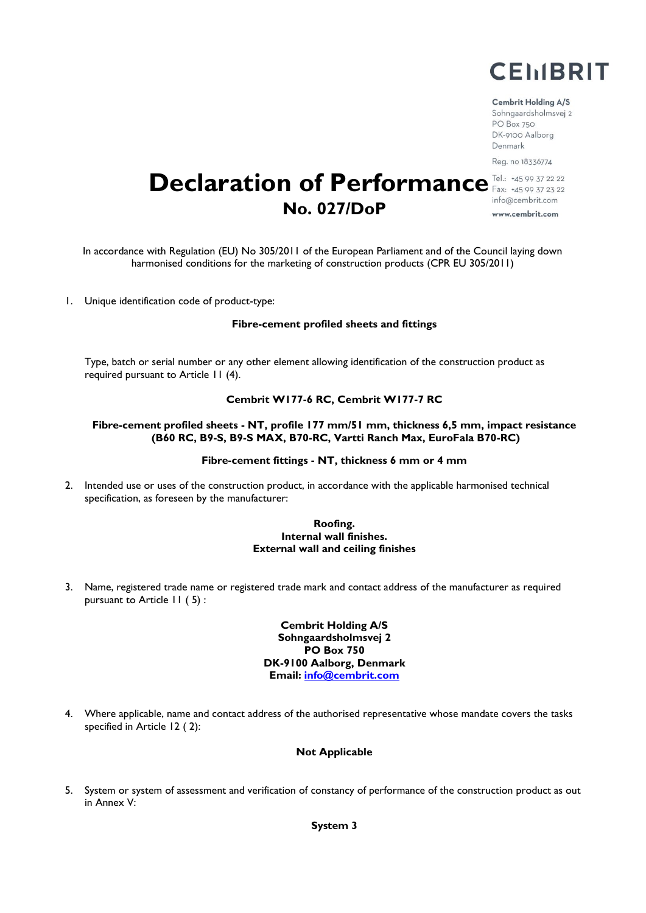

#### **Cembrit Holding A/S**

Sohngaardsholmsvej 2 PO Box 750 DK-9100 Aalborg Denmark Reg. no 18336774

## **Declaration of Performance** Fax: +45 99 37 22 22 info@cembrit.com **No. 027/DoP**

www.cembrit.com

In accordance with Regulation (EU) No 305/2011 of the European Parliament and of the Council laying down harmonised conditions for the marketing of construction products (CPR EU 305/2011)

1. Unique identification code of product-type:

#### **Fibre-cement profiled sheets and fittings**

Type, batch or serial number or any other element allowing identification of the construction product as required pursuant to Article 11 (4).

#### **Cembrit W177-6 RC, Cembrit W177-7 RC**

#### **Fibre-cement profiled sheets - NT, profile 177 mm/51 mm, thickness 6,5 mm, impact resistance (B60 RC, B9-S, B9-S MAX, B70-RC, Vartti Ranch Max, EuroFala B70-RC)**

#### **Fibre-cement fittings - NT, thickness 6 mm or 4 mm**

2. Intended use or uses of the construction product, in accordance with the applicable harmonised technical specification, as foreseen by the manufacturer:

#### **Roofing. Internal wall finishes. External wall and ceiling finishes**

3. Name, registered trade name or registered trade mark and contact address of the manufacturer as required pursuant to Article 11 ( 5) :

> **Cembrit Holding A/S Sohngaardsholmsvej 2 PO Box 750 DK-9100 Aalborg, Denmark Email: info@cembrit.com**

4. Where applicable, name and contact address of the authorised representative whose mandate covers the tasks specified in Article 12 ( 2):

#### **Not Applicable**

5. System or system of assessment and verification of constancy of performance of the construction product as out in Annex V:

**System 3**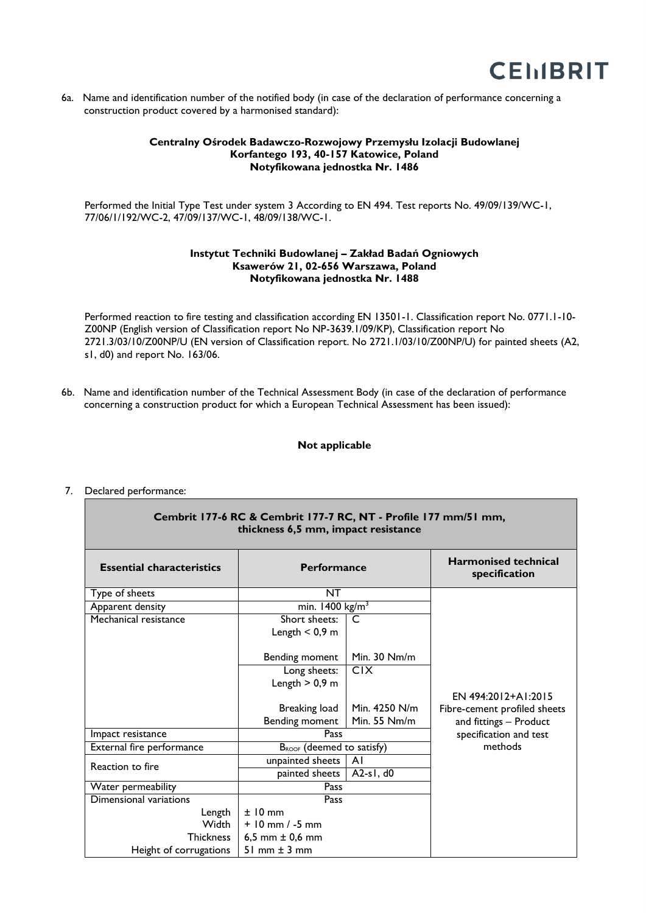

6a. Name and identification number of the notified body (in case of the declaration of performance concerning a construction product covered by a harmonised standard):

#### **Centralny Ośrodek Badawczo-Rozwojowy Przemysłu Izolacji Budowlanej Korfantego 193, 40-157 Katowice, Poland Notyfikowana jednostka Nr. 1486**

Performed the Initial Type Test under system 3 According to EN 494. Test reports No. 49/09/139/WC-1, 77/06/1/192/WC-2, 47/09/137/WC-1, 48/09/138/WC-1.

#### **Instytut Techniki Budowlanej – Zakład Badań Ogniowych Ksawerów 21, 02-656 Warszawa, Poland Notyfikowana jednostka Nr. 1488**

Performed reaction to fire testing and classification according EN 13501-1. Classification report No. 0771.1-10- Z00NP (English version of Classification report No NP-3639.1/09/KP), Classification report No 2721.3/03/10/Z00NP/U (EN version of Classification report. No 2721.1/03/10/Z00NP/U) for painted sheets (A2, s1, d0) and report No. 163/06.

6b. Name and identification number of the Technical Assessment Body (in case of the declaration of performance concerning a construction product for which a European Technical Assessment has been issued):

#### **Not applicable**

#### **Cembrit 177-6 RC & Cembrit 177-7 RC, NT - Profile 177 mm/51 mm, thickness 6,5 mm, impact resistance Essential characteristics Performance Harmonised technical specification** Type of sheets NT EN 494:2012+A1:2015 Fibre-cement profiled sheets and fittings – Product specification and test methods Apparent density min. 1400 kg/m<sup>3</sup> Mechanical resistance Short sheets: Length  $< 0.9$  m Bending moment C Min. 30 Nm/m Long sheets: Length  $> 0.9$  m Breaking load Bending moment C1X Min. 4250 N/m Min. 55 Nm/m Impact resistance Pass External fire performance  $B_{ROOF}$  (deemed to satisfy) Reaction to fire **unpainted sheets** A1<br>painted sheets A2-s1, d0 painted sheets Water permeability **Pass** Dimensional variations Length **Width Thickness** Height of corrugations Pass ± 10 mm + 10 mm / -5 mm 6,5 mm ± 0,6 mm 51 mm ± 3 mm

### 7. Declared performance: